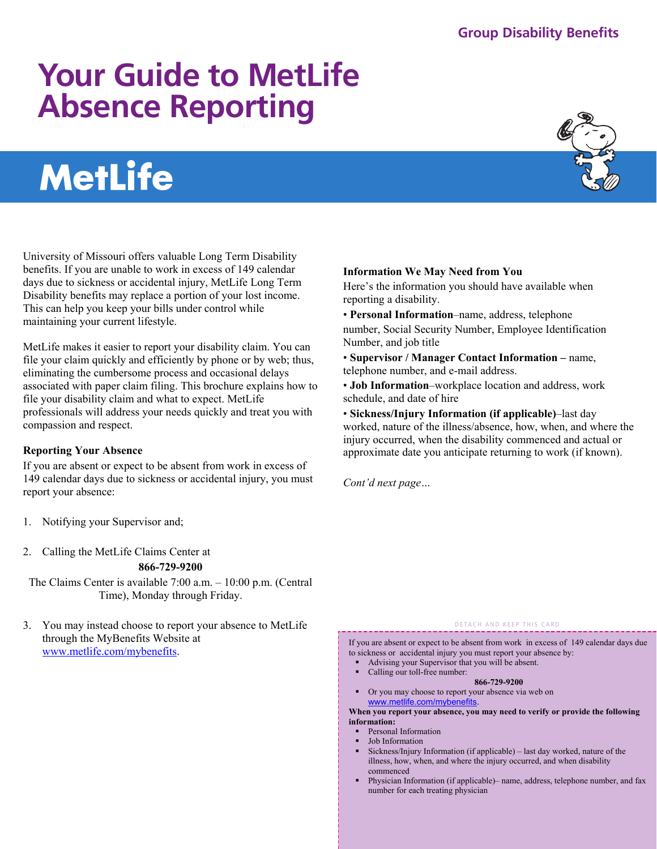# **Your Guide to MetLife Absence Reporting**

# **MetLife**

University of Missouri offers valuable Long Term Disability benefits. If you are unable to work in excess of 149 calendar days due to sickness or accidental injury, MetLife Long Term Disability benefits may replace a portion of your lost income. This can help you keep your bills under control while maintaining your current lifestyle.

MetLife makes it easier to report your disability claim. You can file your claim quickly and efficiently by phone or by web; thus, eliminating the cumbersome process and occasional delays associated with paper claim filing. This brochure explains how to file your disability claim and what to expect. MetLife professionals will address your needs quickly and treat you with compassion and respect.

#### **Reporting Your Absence**

If you are absent or expect to be absent from work in excess of 149 calendar days due to sickness or accidental injury, you must report your absence:

- 1. Notifying your Supervisor and;
- 2. Calling the MetLife Claims Center at

#### **866-729-9200**

The Claims Center is available 7:00 a.m. – 10:00 p.m. (Central Time), Monday through Friday.

3. You may instead choose to report your absence to MetLife through the MyBenefits Website at www.metlife.com/mybenefits.

#### **Information We May Need from You**

Here's the information you should have available when reporting a disability.

- **Personal Information**–name, address, telephone
- number, Social Security Number, Employee Identification Number, and job title
- **Supervisor / Manager Contact Information** name, telephone number, and e-mail address.
- **Job Information**–workplace location and address, work schedule, and date of hire
- **Sickness/Injury Information (if applicable)**–last day worked, nature of the illness/absence, how, when, and where the injury occurred, when the disability commenced and actual or approximate date you anticipate returning to work (if known).

*Cont'd next page…* 

#### DETACH AND KEEP THIS CARD

If you are absent or expect to be absent from work in excess of 149 calendar days due to sickness or accidental injury you must report your absence by:

- Advising your Supervisor that you will be absent.
	- Calling our toll-free number: **866-729-9200**
- Or you may choose to report your absence via web on www.metlife.com/mybenefits.

**When you report your absence, you may need to verify or provide the following information:** 

- Personal Information
- Job Information
- Sickness/Injury Information (if applicable) last day worked, nature of the illness, how, when, and where the injury occurred, and when disability commenced
- Physician Information (if applicable)– name, address, telephone number, and fax number for each treating physician